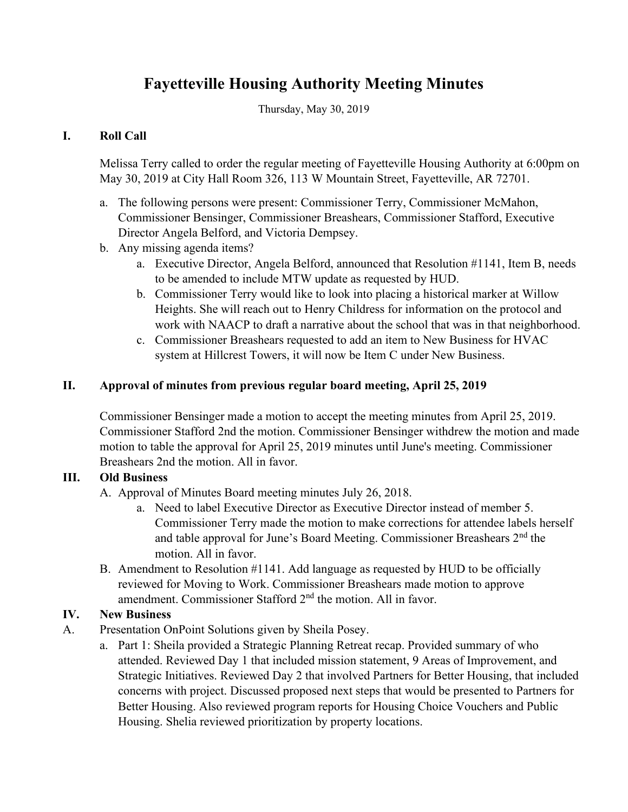# **Fayetteville Housing Authority Meeting Minutes**

Thursday, May 30, 2019

# **I. Roll Call**

Melissa Terry called to order the regular meeting of Fayetteville Housing Authority at 6:00pm on May 30, 2019 at City Hall Room 326, 113 W Mountain Street, Fayetteville, AR 72701.

- a. The following persons were present: Commissioner Terry, Commissioner McMahon, Commissioner Bensinger, Commissioner Breashears, Commissioner Stafford, Executive Director Angela Belford, and Victoria Dempsey.
- b. Any missing agenda items?
	- a. Executive Director, Angela Belford, announced that Resolution #1141, Item B, needs to be amended to include MTW update as requested by HUD.
	- b. Commissioner Terry would like to look into placing a historical marker at Willow Heights. She will reach out to Henry Childress for information on the protocol and work with NAACP to draft a narrative about the school that was in that neighborhood.
	- c. Commissioner Breashears requested to add an item to New Business for HVAC system at Hillcrest Towers, it will now be Item C under New Business.

# **II. Approval of minutes from previous regular board meeting, April 25, 2019**

Commissioner Bensinger made a motion to accept the meeting minutes from April 25, 2019. Commissioner Stafford 2nd the motion. Commissioner Bensinger withdrew the motion and made motion to table the approval for April 25, 2019 minutes until June's meeting. Commissioner Breashears 2nd the motion. All in favor.

### **III. Old Business**

- A. Approval of Minutes Board meeting minutes July 26, 2018.
	- a. Need to label Executive Director as Executive Director instead of member 5. Commissioner Terry made the motion to make corrections for attendee labels herself and table approval for June's Board Meeting. Commissioner Breashears  $2<sup>nd</sup>$  the motion. All in favor.
- B. Amendment to Resolution #1141. Add language as requested by HUD to be officially reviewed for Moving to Work. Commissioner Breashears made motion to approve amendment. Commissioner Stafford 2<sup>nd</sup> the motion. All in favor.

# **IV. New Business**

- A. Presentation OnPoint Solutions given by Sheila Posey.
	- a. Part 1: Sheila provided a Strategic Planning Retreat recap. Provided summary of who attended. Reviewed Day 1 that included mission statement, 9 Areas of Improvement, and Strategic Initiatives. Reviewed Day 2 that involved Partners for Better Housing, that included concerns with project. Discussed proposed next steps that would be presented to Partners for Better Housing. Also reviewed program reports for Housing Choice Vouchers and Public Housing. Shelia reviewed prioritization by property locations.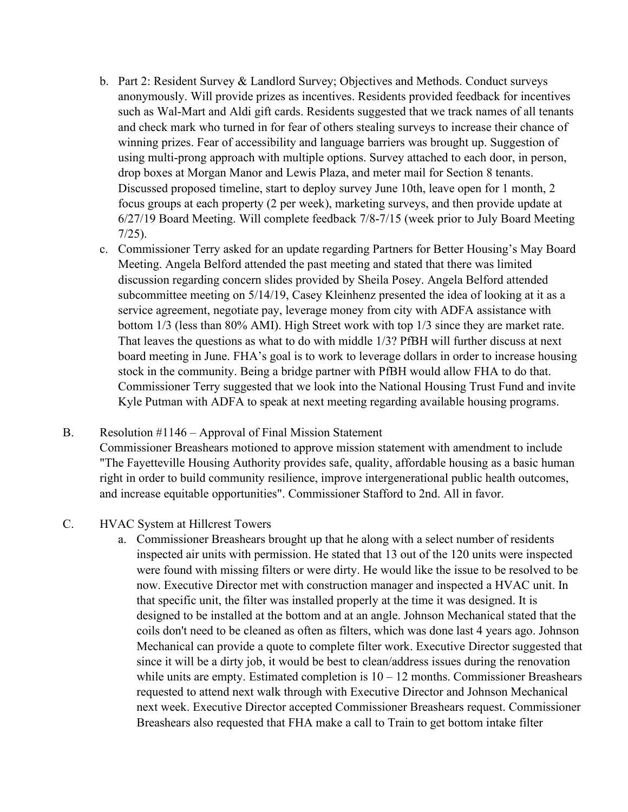- b. Part 2: Resident Survey & Landlord Survey; Objectives and Methods. Conduct surveys anonymously. Will provide prizes as incentives. Residents provided feedback for incentives such as Wal-Mart and Aldi gift cards. Residents suggested that we track names of all tenants and check mark who turned in for fear of others stealing surveys to increase their chance of winning prizes. Fear of accessibility and language barriers was brought up. Suggestion of using multi-prong approach with multiple options. Survey attached to each door, in person, drop boxes at Morgan Manor and Lewis Plaza, and meter mail for Section 8 tenants. Discussed proposed timeline, start to deploy survey June 10th, leave open for 1 month, 2 focus groups at each property (2 per week), marketing surveys, and then provide update at 6/27/19 Board Meeting. Will complete feedback 7/8-7/15 (week prior to July Board Meeting 7/25).
- c. Commissioner Terry asked for an update regarding Partners for Better Housing's May Board Meeting. Angela Belford attended the past meeting and stated that there was limited discussion regarding concern slides provided by Sheila Posey. Angela Belford attended subcommittee meeting on 5/14/19, Casey Kleinhenz presented the idea of looking at it as a service agreement, negotiate pay, leverage money from city with ADFA assistance with bottom 1/3 (less than 80% AMI). High Street work with top 1/3 since they are market rate. That leaves the questions as what to do with middle 1/3? PfBH will further discuss at next board meeting in June. FHA's goal is to work to leverage dollars in order to increase housing stock in the community. Being a bridge partner with PfBH would allow FHA to do that. Commissioner Terry suggested that we look into the National Housing Trust Fund and invite Kyle Putman with ADFA to speak at next meeting regarding available housing programs.
- B. Resolution #1146 Approval of Final Mission Statement Commissioner Breashears motioned to approve mission statement with amendment to include "The Fayetteville Housing Authority provides safe, quality, affordable housing as a basic human right in order to build community resilience, improve intergenerational public health outcomes, and increase equitable opportunities". Commissioner Stafford to 2nd. All in favor.

#### C. HVAC System at Hillcrest Towers

a. Commissioner Breashears brought up that he along with a select number of residents inspected air units with permission. He stated that 13 out of the 120 units were inspected were found with missing filters or were dirty. He would like the issue to be resolved to be now. Executive Director met with construction manager and inspected a HVAC unit. In that specific unit, the filter was installed properly at the time it was designed. It is designed to be installed at the bottom and at an angle. Johnson Mechanical stated that the coils don't need to be cleaned as often as filters, which was done last 4 years ago. Johnson Mechanical can provide a quote to complete filter work. Executive Director suggested that since it will be a dirty job, it would be best to clean/address issues during the renovation while units are empty. Estimated completion is  $10 - 12$  months. Commissioner Breashears requested to attend next walk through with Executive Director and Johnson Mechanical next week. Executive Director accepted Commissioner Breashears request. Commissioner Breashears also requested that FHA make a call to Train to get bottom intake filter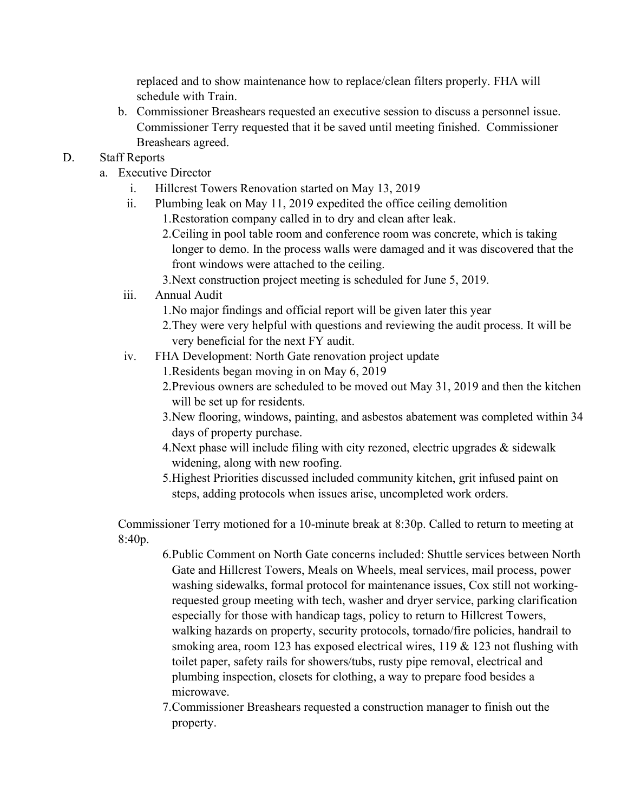replaced and to show maintenance how to replace/clean filters properly. FHA will schedule with Train.

b. Commissioner Breashears requested an executive session to discuss a personnel issue. Commissioner Terry requested that it be saved until meeting finished. Commissioner Breashears agreed.

## D. Staff Reports

- a. Executive Director
	- i. Hillcrest Towers Renovation started on May 13, 2019
	- ii. Plumbing leak on May 11, 2019 expedited the office ceiling demolition
		- 1.Restoration company called in to dry and clean after leak.
		- 2.Ceiling in pool table room and conference room was concrete, which is taking longer to demo. In the process walls were damaged and it was discovered that the front windows were attached to the ceiling.
		- 3.Next construction project meeting is scheduled for June 5, 2019.

# iii. Annual Audit

- 1.No major findings and official report will be given later this year
- 2.They were very helpful with questions and reviewing the audit process. It will be very beneficial for the next FY audit.
- iv. FHA Development: North Gate renovation project update
	- 1.Residents began moving in on May 6, 2019
	- 2.Previous owners are scheduled to be moved out May 31, 2019 and then the kitchen will be set up for residents.
	- 3.New flooring, windows, painting, and asbestos abatement was completed within 34 days of property purchase.
	- 4.Next phase will include filing with city rezoned, electric upgrades & sidewalk widening, along with new roofing.
	- 5.Highest Priorities discussed included community kitchen, grit infused paint on steps, adding protocols when issues arise, uncompleted work orders.

Commissioner Terry motioned for a 10-minute break at 8:30p. Called to return to meeting at 8:40p.

- 6.Public Comment on North Gate concerns included: Shuttle services between North Gate and Hillcrest Towers, Meals on Wheels, meal services, mail process, power washing sidewalks, formal protocol for maintenance issues, Cox still not workingrequested group meeting with tech, washer and dryer service, parking clarification especially for those with handicap tags, policy to return to Hillcrest Towers, walking hazards on property, security protocols, tornado/fire policies, handrail to smoking area, room 123 has exposed electrical wires, 119 & 123 not flushing with toilet paper, safety rails for showers/tubs, rusty pipe removal, electrical and plumbing inspection, closets for clothing, a way to prepare food besides a microwave.
- 7.Commissioner Breashears requested a construction manager to finish out the property.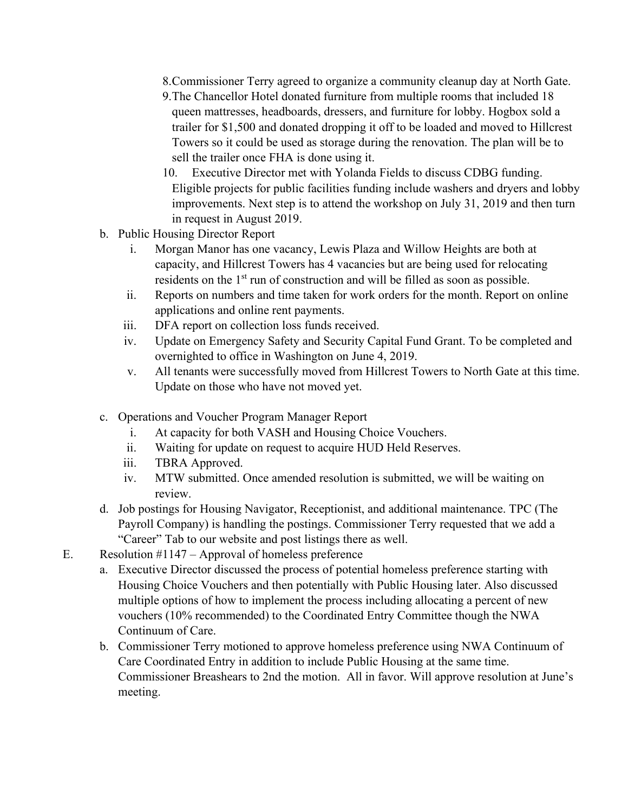- 8.Commissioner Terry agreed to organize a community cleanup day at North Gate.
- 9.The Chancellor Hotel donated furniture from multiple rooms that included 18 queen mattresses, headboards, dressers, and furniture for lobby. Hogbox sold a trailer for \$1,500 and donated dropping it off to be loaded and moved to Hillcrest Towers so it could be used as storage during the renovation. The plan will be to sell the trailer once FHA is done using it.
- 10. Executive Director met with Yolanda Fields to discuss CDBG funding. Eligible projects for public facilities funding include washers and dryers and lobby improvements. Next step is to attend the workshop on July 31, 2019 and then turn in request in August 2019.
- b. Public Housing Director Report
	- i. Morgan Manor has one vacancy, Lewis Plaza and Willow Heights are both at capacity, and Hillcrest Towers has 4 vacancies but are being used for relocating residents on the 1<sup>st</sup> run of construction and will be filled as soon as possible.
	- ii. Reports on numbers and time taken for work orders for the month. Report on online applications and online rent payments.
	- iii. DFA report on collection loss funds received.
	- iv. Update on Emergency Safety and Security Capital Fund Grant. To be completed and overnighted to office in Washington on June 4, 2019.
	- v. All tenants were successfully moved from Hillcrest Towers to North Gate at this time. Update on those who have not moved yet.
- c. Operations and Voucher Program Manager Report
	- i. At capacity for both VASH and Housing Choice Vouchers.
	- ii. Waiting for update on request to acquire HUD Held Reserves.
	- iii. TBRA Approved.
	- iv. MTW submitted. Once amended resolution is submitted, we will be waiting on review.
- d. Job postings for Housing Navigator, Receptionist, and additional maintenance. TPC (The Payroll Company) is handling the postings. Commissioner Terry requested that we add a "Career" Tab to our website and post listings there as well.
- E. Resolution #1147 Approval of homeless preference
	- a. Executive Director discussed the process of potential homeless preference starting with Housing Choice Vouchers and then potentially with Public Housing later. Also discussed multiple options of how to implement the process including allocating a percent of new vouchers (10% recommended) to the Coordinated Entry Committee though the NWA Continuum of Care.
	- b. Commissioner Terry motioned to approve homeless preference using NWA Continuum of Care Coordinated Entry in addition to include Public Housing at the same time. Commissioner Breashears to 2nd the motion. All in favor. Will approve resolution at June's meeting.